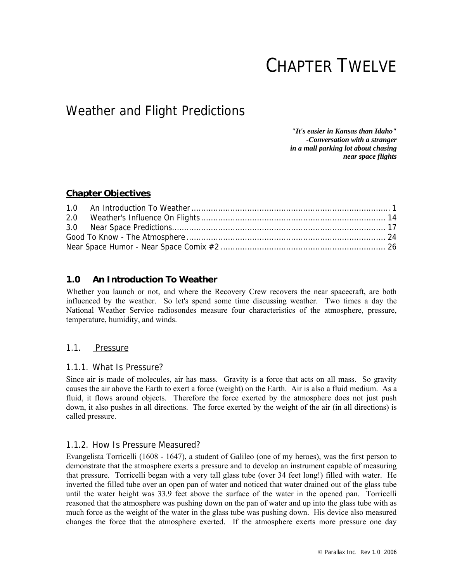# CHAPTER TWELVE

## Weather and Flight Predictions

*"It's easier in Kansas than Idaho" -Conversation with a stranger in a mall parking lot about chasing near space flights* 

## **Chapter Objectives**

| 2.0 |  |
|-----|--|
|     |  |
|     |  |
|     |  |

## **1.0 An Introduction To Weather**

Whether you launch or not, and where the Recovery Crew recovers the near spacecraft, are both influenced by the weather. So let's spend some time discussing weather. Two times a day the National Weather Service radiosondes measure four characteristics of the atmosphere, pressure, temperature, humidity, and winds.

## 1.1. Pressure

## 1.1.1. What Is Pressure?

Since air is made of molecules, air has mass. Gravity is a force that acts on all mass. So gravity causes the air above the Earth to exert a force (weight) on the Earth. Air is also a fluid medium. As a fluid, it flows around objects. Therefore the force exerted by the atmosphere does not just push down, it also pushes in all directions. The force exerted by the weight of the air (in all directions) is called pressure.

## 1.1.2. How Is Pressure Measured?

Evangelista Torricelli (1608 - 1647), a student of Galileo (one of my heroes), was the first person to demonstrate that the atmosphere exerts a pressure and to develop an instrument capable of measuring that pressure. Torricelli began with a very tall glass tube (over 34 feet long!) filled with water. He inverted the filled tube over an open pan of water and noticed that water drained out of the glass tube until the water height was 33.9 feet above the surface of the water in the opened pan. Torricelli reasoned that the atmosphere was pushing down on the pan of water and up into the glass tube with as much force as the weight of the water in the glass tube was pushing down. His device also measured changes the force that the atmosphere exerted. If the atmosphere exerts more pressure one day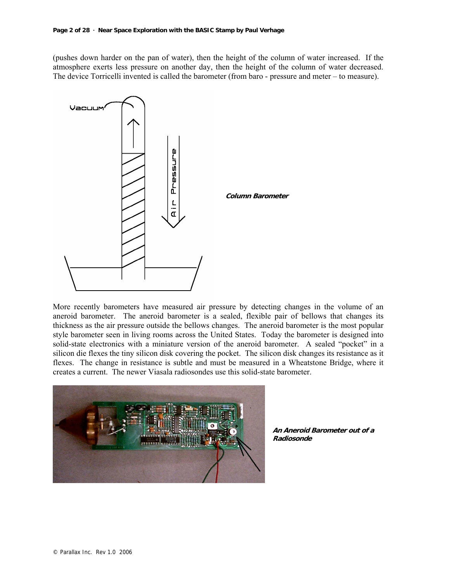(pushes down harder on the pan of water), then the height of the column of water increased. If the atmosphere exerts less pressure on another day, then the height of the column of water decreased. The device Torricelli invented is called the barometer (from baro - pressure and meter – to measure).



More recently barometers have measured air pressure by detecting changes in the volume of an aneroid barometer. The aneroid barometer is a sealed, flexible pair of bellows that changes its thickness as the air pressure outside the bellows changes. The aneroid barometer is the most popular style barometer seen in living rooms across the United States. Today the barometer is designed into solid-state electronics with a miniature version of the aneroid barometer. A sealed "pocket" in a silicon die flexes the tiny silicon disk covering the pocket. The silicon disk changes its resistance as it flexes. The change in resistance is subtle and must be measured in a Wheatstone Bridge, where it creates a current. The newer Viasala radiosondes use this solid-state barometer.



**An Aneroid Barometer out of a Radiosonde**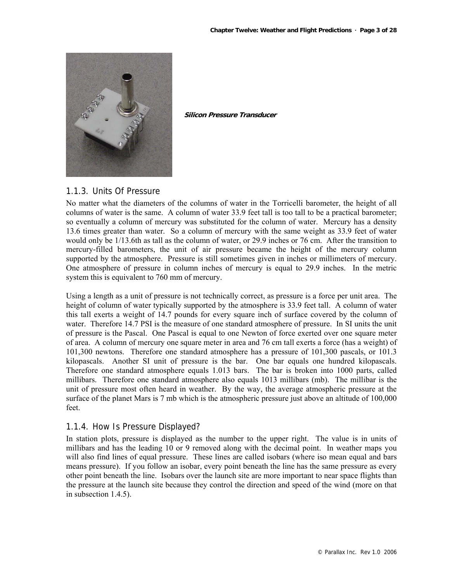

**Silicon Pressure Transducer**

## 1.1.3. Units Of Pressure

No matter what the diameters of the columns of water in the Torricelli barometer, the height of all columns of water is the same. A column of water 33.9 feet tall is too tall to be a practical barometer; so eventually a column of mercury was substituted for the column of water. Mercury has a density 13.6 times greater than water. So a column of mercury with the same weight as 33.9 feet of water would only be 1/13.6th as tall as the column of water, or 29.9 inches or 76 cm. After the transition to mercury-filled barometers, the unit of air pressure became the height of the mercury column supported by the atmosphere. Pressure is still sometimes given in inches or millimeters of mercury. One atmosphere of pressure in column inches of mercury is equal to 29.9 inches. In the metric system this is equivalent to 760 mm of mercury.

Using a length as a unit of pressure is not technically correct, as pressure is a force per unit area. The height of column of water typically supported by the atmosphere is 33.9 feet tall. A column of water this tall exerts a weight of 14.7 pounds for every square inch of surface covered by the column of water. Therefore 14.7 PSI is the measure of one standard atmosphere of pressure. In SI units the unit of pressure is the Pascal. One Pascal is equal to one Newton of force exerted over one square meter of area. A column of mercury one square meter in area and 76 cm tall exerts a force (has a weight) of 101,300 newtons. Therefore one standard atmosphere has a pressure of 101,300 pascals, or 101.3 kilopascals. Another SI unit of pressure is the bar. One bar equals one hundred kilopascals. Therefore one standard atmosphere equals 1.013 bars. The bar is broken into 1000 parts, called millibars. Therefore one standard atmosphere also equals 1013 millibars (mb). The millibar is the unit of pressure most often heard in weather. By the way, the average atmospheric pressure at the surface of the planet Mars is 7 mb which is the atmospheric pressure just above an altitude of 100,000 feet.

## 1.1.4. How Is Pressure Displayed?

In station plots, pressure is displayed as the number to the upper right. The value is in units of millibars and has the leading 10 or 9 removed along with the decimal point. In weather maps you will also find lines of equal pressure. These lines are called isobars (where iso mean equal and bars means pressure). If you follow an isobar, every point beneath the line has the same pressure as every other point beneath the line. Isobars over the launch site are more important to near space flights than the pressure at the launch site because they control the direction and speed of the wind (more on that in subsection 1.4.5).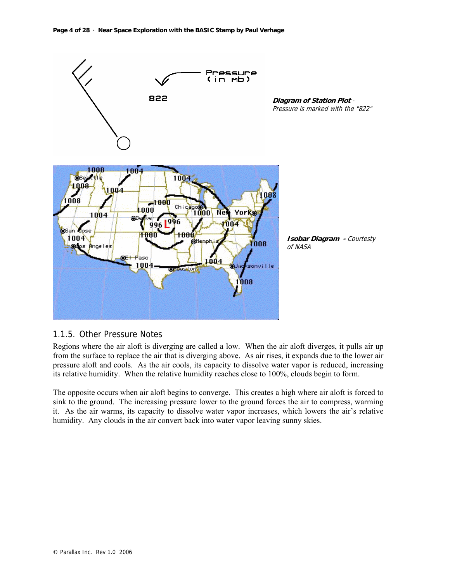

## 1.1.5. Other Pressure Notes

Regions where the air aloft is diverging are called a low. When the air aloft diverges, it pulls air up from the surface to replace the air that is diverging above. As air rises, it expands due to the lower air pressure aloft and cools. As the air cools, its capacity to dissolve water vapor is reduced, increasing its relative humidity. When the relative humidity reaches close to 100%, clouds begin to form.

The opposite occurs when air aloft begins to converge. This creates a high where air aloft is forced to sink to the ground. The increasing pressure lower to the ground forces the air to compress, warming it. As the air warms, its capacity to dissolve water vapor increases, which lowers the air's relative humidity. Any clouds in the air convert back into water vapor leaving sunny skies.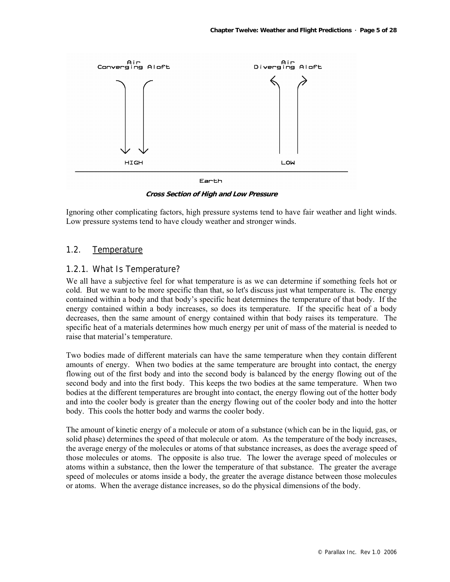

**Cross Section of High and Low Pressure** 

Ignoring other complicating factors, high pressure systems tend to have fair weather and light winds. Low pressure systems tend to have cloudy weather and stronger winds.

#### 1.2. Temperature

#### 1.2.1. What Is Temperature?

We all have a subjective feel for what temperature is as we can determine if something feels hot or cold. But we want to be more specific than that, so let's discuss just what temperature is. The energy contained within a body and that body's specific heat determines the temperature of that body. If the energy contained within a body increases, so does its temperature. If the specific heat of a body decreases, then the same amount of energy contained within that body raises its temperature. The specific heat of a materials determines how much energy per unit of mass of the material is needed to raise that material's temperature.

Two bodies made of different materials can have the same temperature when they contain different amounts of energy. When two bodies at the same temperature are brought into contact, the energy flowing out of the first body and into the second body is balanced by the energy flowing out of the second body and into the first body. This keeps the two bodies at the same temperature. When two bodies at the different temperatures are brought into contact, the energy flowing out of the hotter body and into the cooler body is greater than the energy flowing out of the cooler body and into the hotter body. This cools the hotter body and warms the cooler body.

The amount of kinetic energy of a molecule or atom of a substance (which can be in the liquid, gas, or solid phase) determines the speed of that molecule or atom. As the temperature of the body increases, the average energy of the molecules or atoms of that substance increases, as does the average speed of those molecules or atoms. The opposite is also true. The lower the average speed of molecules or atoms within a substance, then the lower the temperature of that substance. The greater the average speed of molecules or atoms inside a body, the greater the average distance between those molecules or atoms. When the average distance increases, so do the physical dimensions of the body.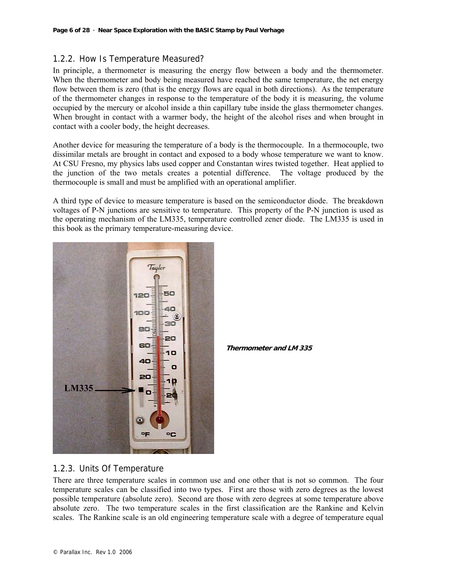## 1.2.2. How Is Temperature Measured?

In principle, a thermometer is measuring the energy flow between a body and the thermometer. When the thermometer and body being measured have reached the same temperature, the net energy flow between them is zero (that is the energy flows are equal in both directions). As the temperature of the thermometer changes in response to the temperature of the body it is measuring, the volume occupied by the mercury or alcohol inside a thin capillary tube inside the glass thermometer changes. When brought in contact with a warmer body, the height of the alcohol rises and when brought in contact with a cooler body, the height decreases.

Another device for measuring the temperature of a body is the thermocouple. In a thermocouple, two dissimilar metals are brought in contact and exposed to a body whose temperature we want to know. At CSU Fresno, my physics labs used copper and Constantan wires twisted together. Heat applied to the junction of the two metals creates a potential difference. The voltage produced by the thermocouple is small and must be amplified with an operational amplifier.

A third type of device to measure temperature is based on the semiconductor diode. The breakdown voltages of P-N junctions are sensitive to temperature. This property of the P-N junction is used as the operating mechanism of the LM335, temperature controlled zener diode. The LM335 is used in this book as the primary temperature-measuring device.



**Thermometer and LM 335**

## 1.2.3. Units Of Temperature

There are three temperature scales in common use and one other that is not so common. The four temperature scales can be classified into two types. First are those with zero degrees as the lowest possible temperature (absolute zero). Second are those with zero degrees at some temperature above absolute zero. The two temperature scales in the first classification are the Rankine and Kelvin scales. The Rankine scale is an old engineering temperature scale with a degree of temperature equal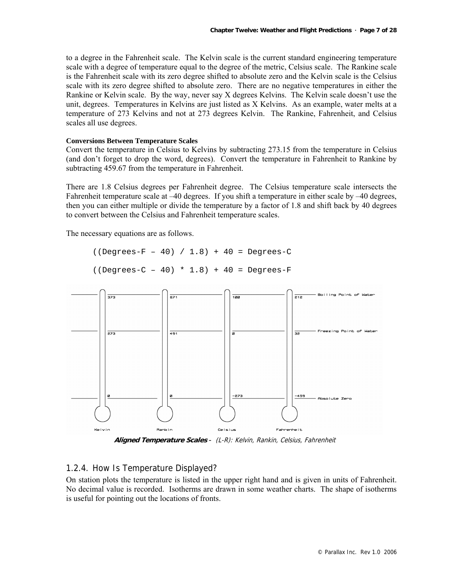to a degree in the Fahrenheit scale. The Kelvin scale is the current standard engineering temperature scale with a degree of temperature equal to the degree of the metric, Celsius scale. The Rankine scale is the Fahrenheit scale with its zero degree shifted to absolute zero and the Kelvin scale is the Celsius scale with its zero degree shifted to absolute zero. There are no negative temperatures in either the Rankine or Kelvin scale. By the way, never say X degrees Kelvins. The Kelvin scale doesn't use the unit, degrees. Temperatures in Kelvins are just listed as X Kelvins. As an example, water melts at a temperature of 273 Kelvins and not at 273 degrees Kelvin. The Rankine, Fahrenheit, and Celsius scales all use degrees.

#### **Conversions Between Temperature Scales**

Convert the temperature in Celsius to Kelvins by subtracting 273.15 from the temperature in Celsius (and don't forget to drop the word, degrees). Convert the temperature in Fahrenheit to Rankine by subtracting 459.67 from the temperature in Fahrenheit.

There are 1.8 Celsius degrees per Fahrenheit degree. The Celsius temperature scale intersects the Fahrenheit temperature scale at –40 degrees. If you shift a temperature in either scale by –40 degrees, then you can either multiple or divide the temperature by a factor of 1.8 and shift back by 40 degrees to convert between the Celsius and Fahrenheit temperature scales.

The necessary equations are as follows.

```
((Degrees-F - 40) / 1.8) + 40 = Degrees-C
```

```
( (Degrees-C - 40) * 1.8) + 40 = Degrees-F
```


**Aligned Temperature Scales** - (L-R): Kelvin, Rankin, Celsius, Fahrenheit

## 1.2.4. How Is Temperature Displayed?

On station plots the temperature is listed in the upper right hand and is given in units of Fahrenheit. No decimal value is recorded. Isotherms are drawn in some weather charts. The shape of isotherms is useful for pointing out the locations of fronts.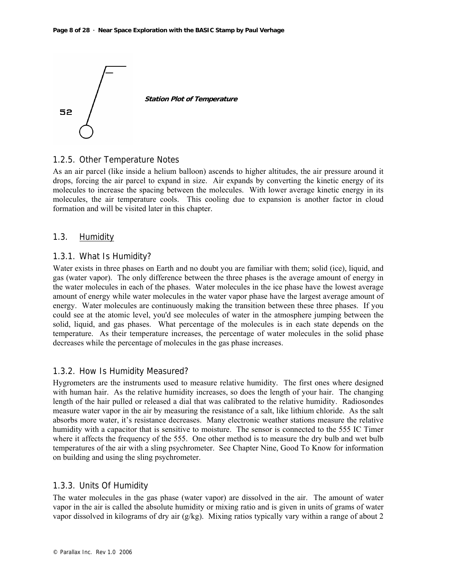

1.2.5. Other Temperature Notes

As an air parcel (like inside a helium balloon) ascends to higher altitudes, the air pressure around it drops, forcing the air parcel to expand in size. Air expands by converting the kinetic energy of its molecules to increase the spacing between the molecules. With lower average kinetic energy in its molecules, the air temperature cools. This cooling due to expansion is another factor in cloud formation and will be visited later in this chapter.

#### 1.3. **Humidity**

#### 1.3.1. What Is Humidity?

Water exists in three phases on Earth and no doubt you are familiar with them; solid (ice), liquid, and gas (water vapor). The only difference between the three phases is the average amount of energy in the water molecules in each of the phases. Water molecules in the ice phase have the lowest average amount of energy while water molecules in the water vapor phase have the largest average amount of energy. Water molecules are continuously making the transition between these three phases. If you could see at the atomic level, you'd see molecules of water in the atmosphere jumping between the solid, liquid, and gas phases. What percentage of the molecules is in each state depends on the temperature. As their temperature increases, the percentage of water molecules in the solid phase decreases while the percentage of molecules in the gas phase increases.

## 1.3.2. How Is Humidity Measured?

Hygrometers are the instruments used to measure relative humidity. The first ones where designed with human hair. As the relative humidity increases, so does the length of your hair. The changing length of the hair pulled or released a dial that was calibrated to the relative humidity. Radiosondes measure water vapor in the air by measuring the resistance of a salt, like lithium chloride. As the salt absorbs more water, it's resistance decreases. Many electronic weather stations measure the relative humidity with a capacitor that is sensitive to moisture. The sensor is connected to the 555 IC Timer where it affects the frequency of the 555. One other method is to measure the dry bulb and wet bulb temperatures of the air with a sling psychrometer. See Chapter Nine, Good To Know for information on building and using the sling psychrometer.

#### 1.3.3. Units Of Humidity

The water molecules in the gas phase (water vapor) are dissolved in the air. The amount of water vapor in the air is called the absolute humidity or mixing ratio and is given in units of grams of water vapor dissolved in kilograms of dry air (g/kg). Mixing ratios typically vary within a range of about 2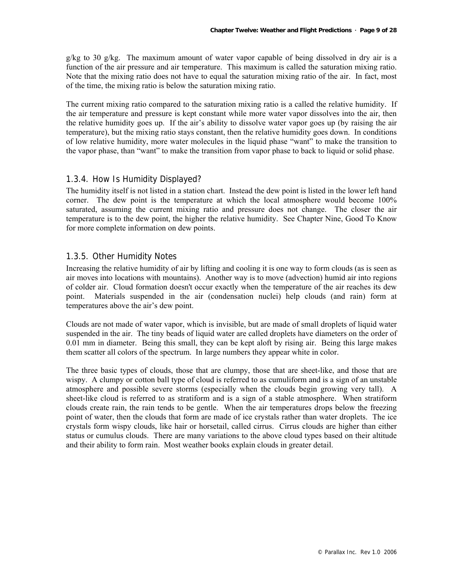g/kg to 30 g/kg. The maximum amount of water vapor capable of being dissolved in dry air is a function of the air pressure and air temperature. This maximum is called the saturation mixing ratio. Note that the mixing ratio does not have to equal the saturation mixing ratio of the air. In fact, most of the time, the mixing ratio is below the saturation mixing ratio.

The current mixing ratio compared to the saturation mixing ratio is a called the relative humidity. If the air temperature and pressure is kept constant while more water vapor dissolves into the air, then the relative humidity goes up. If the air's ability to dissolve water vapor goes up (by raising the air temperature), but the mixing ratio stays constant, then the relative humidity goes down. In conditions of low relative humidity, more water molecules in the liquid phase "want" to make the transition to the vapor phase, than "want" to make the transition from vapor phase to back to liquid or solid phase.

## 1.3.4. How Is Humidity Displayed?

The humidity itself is not listed in a station chart. Instead the dew point is listed in the lower left hand corner. The dew point is the temperature at which the local atmosphere would become 100% saturated, assuming the current mixing ratio and pressure does not change. The closer the air temperature is to the dew point, the higher the relative humidity. See Chapter Nine, Good To Know for more complete information on dew points.

## 1.3.5. Other Humidity Notes

Increasing the relative humidity of air by lifting and cooling it is one way to form clouds (as is seen as air moves into locations with mountains). Another way is to move (advection) humid air into regions of colder air. Cloud formation doesn't occur exactly when the temperature of the air reaches its dew point. Materials suspended in the air (condensation nuclei) help clouds (and rain) form at temperatures above the air's dew point.

Clouds are not made of water vapor, which is invisible, but are made of small droplets of liquid water suspended in the air. The tiny beads of liquid water are called droplets have diameters on the order of 0.01 mm in diameter. Being this small, they can be kept aloft by rising air. Being this large makes them scatter all colors of the spectrum. In large numbers they appear white in color.

The three basic types of clouds, those that are clumpy, those that are sheet-like, and those that are wispy. A clumpy or cotton ball type of cloud is referred to as cumuliform and is a sign of an unstable atmosphere and possible severe storms (especially when the clouds begin growing very tall). A sheet-like cloud is referred to as stratiform and is a sign of a stable atmosphere. When stratiform clouds create rain, the rain tends to be gentle. When the air temperatures drops below the freezing point of water, then the clouds that form are made of ice crystals rather than water droplets. The ice crystals form wispy clouds, like hair or horsetail, called cirrus. Cirrus clouds are higher than either status or cumulus clouds. There are many variations to the above cloud types based on their altitude and their ability to form rain. Most weather books explain clouds in greater detail.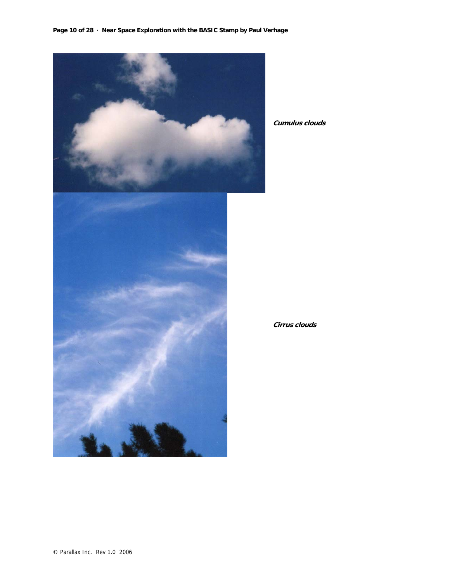

**Cumulus clouds** 

**Cirrus clouds**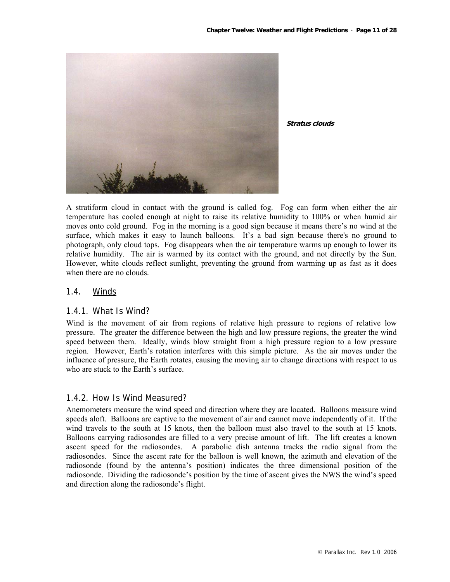

**Stratus clouds** 

A stratiform cloud in contact with the ground is called fog. Fog can form when either the air temperature has cooled enough at night to raise its relative humidity to 100% or when humid air moves onto cold ground. Fog in the morning is a good sign because it means there's no wind at the surface, which makes it easy to launch balloons. It's a bad sign because there's no ground to photograph, only cloud tops. Fog disappears when the air temperature warms up enough to lower its relative humidity. The air is warmed by its contact with the ground, and not directly by the Sun. However, white clouds reflect sunlight, preventing the ground from warming up as fast as it does when there are no clouds.

#### 1.4. Winds

#### 1.4.1. What Is Wind?

Wind is the movement of air from regions of relative high pressure to regions of relative low pressure. The greater the difference between the high and low pressure regions, the greater the wind speed between them. Ideally, winds blow straight from a high pressure region to a low pressure region. However, Earth's rotation interferes with this simple picture. As the air moves under the influence of pressure, the Earth rotates, causing the moving air to change directions with respect to us who are stuck to the Earth's surface.

#### 1.4.2. How Is Wind Measured?

Anemometers measure the wind speed and direction where they are located. Balloons measure wind speeds aloft. Balloons are captive to the movement of air and cannot move independently of it. If the wind travels to the south at 15 knots, then the balloon must also travel to the south at 15 knots. Balloons carrying radiosondes are filled to a very precise amount of lift. The lift creates a known ascent speed for the radiosondes. A parabolic dish antenna tracks the radio signal from the radiosondes. Since the ascent rate for the balloon is well known, the azimuth and elevation of the radiosonde (found by the antenna's position) indicates the three dimensional position of the radiosonde. Dividing the radiosonde's position by the time of ascent gives the NWS the wind's speed and direction along the radiosonde's flight.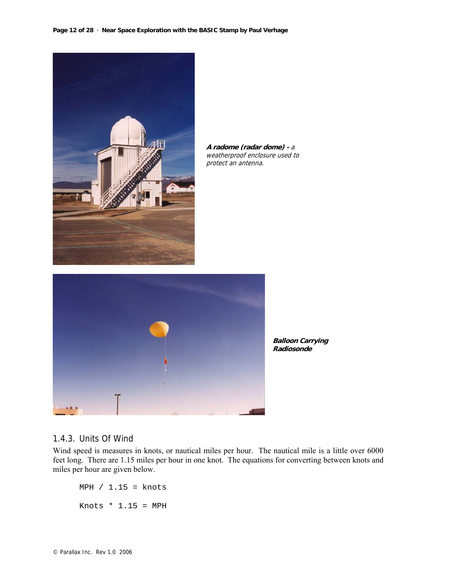

**A radome (radar dome) -** <sup>a</sup> weatherproof enclosure used to protect an antenna.



**Balloon Carrying Radiosonde**

#### 1.4.3. Units Of Wind

Wind speed is measures in knots, or nautical miles per hour. The nautical mile is a little over 6000 feet long. There are 1.15 miles per hour in one knot. The equations for converting between knots and miles per hour are given below.

 $MPH / 1.15 =$  knots Knots  $* 1.15 = MPH$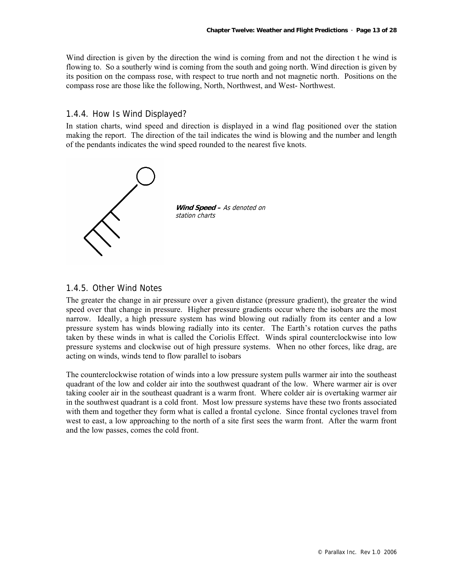Wind direction is given by the direction the wind is coming from and not the direction t he wind is flowing to. So a southerly wind is coming from the south and going north. Wind direction is given by its position on the compass rose, with respect to true north and not magnetic north. Positions on the compass rose are those like the following, North, Northwest, and West- Northwest.

#### 1.4.4. How Is Wind Displayed?

In station charts, wind speed and direction is displayed in a wind flag positioned over the station making the report. The direction of the tail indicates the wind is blowing and the number and length of the pendants indicates the wind speed rounded to the nearest five knots.



#### 1.4.5. Other Wind Notes

The greater the change in air pressure over a given distance (pressure gradient), the greater the wind speed over that change in pressure. Higher pressure gradients occur where the isobars are the most narrow. Ideally, a high pressure system has wind blowing out radially from its center and a low pressure system has winds blowing radially into its center. The Earth's rotation curves the paths taken by these winds in what is called the Coriolis Effect. Winds spiral counterclockwise into low pressure systems and clockwise out of high pressure systems. When no other forces, like drag, are acting on winds, winds tend to flow parallel to isobars

The counterclockwise rotation of winds into a low pressure system pulls warmer air into the southeast quadrant of the low and colder air into the southwest quadrant of the low. Where warmer air is over taking cooler air in the southeast quadrant is a warm front. Where colder air is overtaking warmer air in the southwest quadrant is a cold front. Most low pressure systems have these two fronts associated with them and together they form what is called a frontal cyclone. Since frontal cyclones travel from west to east, a low approaching to the north of a site first sees the warm front. After the warm front and the low passes, comes the cold front.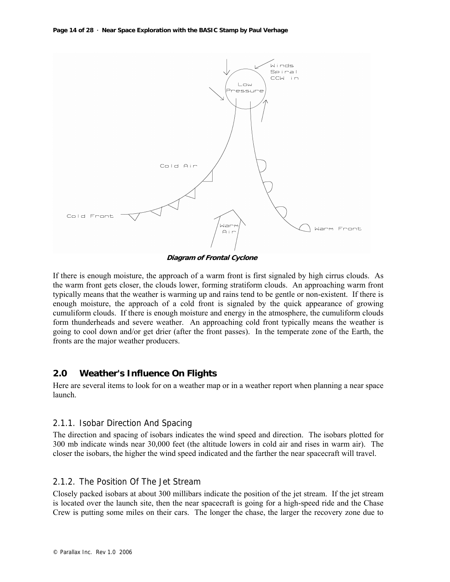**Page 14 of 28 · Near Space Exploration with the BASIC Stamp by Paul Verhage**



**Diagram of Frontal Cyclone** 

If there is enough moisture, the approach of a warm front is first signaled by high cirrus clouds. As the warm front gets closer, the clouds lower, forming stratiform clouds. An approaching warm front typically means that the weather is warming up and rains tend to be gentle or non-existent. If there is enough moisture, the approach of a cold front is signaled by the quick appearance of growing cumuliform clouds. If there is enough moisture and energy in the atmosphere, the cumuliform clouds form thunderheads and severe weather. An approaching cold front typically means the weather is going to cool down and/or get drier (after the front passes). In the temperate zone of the Earth, the fronts are the major weather producers.

## **2.0 Weather's Influence On Flights**

Here are several items to look for on a weather map or in a weather report when planning a near space launch.

## 2.1.1. Isobar Direction And Spacing

The direction and spacing of isobars indicates the wind speed and direction. The isobars plotted for 300 mb indicate winds near 30,000 feet (the altitude lowers in cold air and rises in warm air). The closer the isobars, the higher the wind speed indicated and the farther the near spacecraft will travel.

## 2.1.2. The Position Of The Jet Stream

Closely packed isobars at about 300 millibars indicate the position of the jet stream. If the jet stream is located over the launch site, then the near spacecraft is going for a high-speed ride and the Chase Crew is putting some miles on their cars. The longer the chase, the larger the recovery zone due to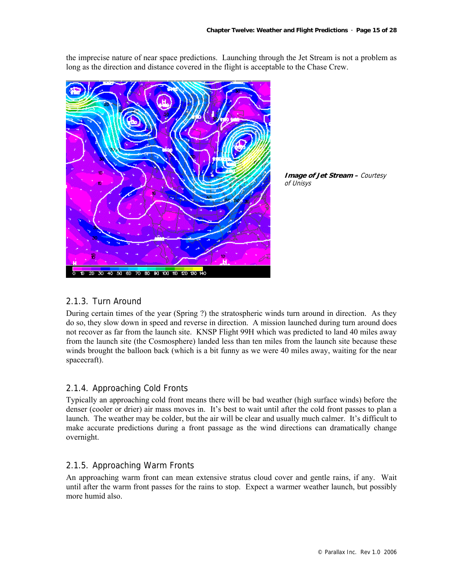the imprecise nature of near space predictions. Launching through the Jet Stream is not a problem as long as the direction and distance covered in the flight is acceptable to the Chase Crew.





## 2.1.3. Turn Around

During certain times of the year (Spring ?) the stratospheric winds turn around in direction. As they do so, they slow down in speed and reverse in direction. A mission launched during turn around does not recover as far from the launch site. KNSP Flight 99H which was predicted to land 40 miles away from the launch site (the Cosmosphere) landed less than ten miles from the launch site because these winds brought the balloon back (which is a bit funny as we were 40 miles away, waiting for the near spacecraft).

## 2.1.4. Approaching Cold Fronts

Typically an approaching cold front means there will be bad weather (high surface winds) before the denser (cooler or drier) air mass moves in. It's best to wait until after the cold front passes to plan a launch. The weather may be colder, but the air will be clear and usually much calmer. It's difficult to make accurate predictions during a front passage as the wind directions can dramatically change overnight.

## 2.1.5. Approaching Warm Fronts

An approaching warm front can mean extensive stratus cloud cover and gentle rains, if any. Wait until after the warm front passes for the rains to stop. Expect a warmer weather launch, but possibly more humid also.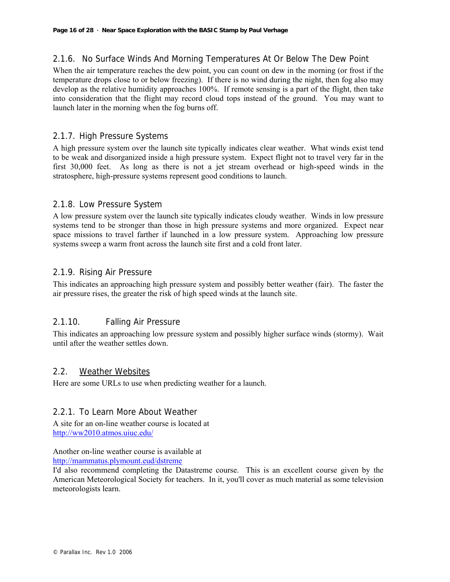## 2.1.6. No Surface Winds And Morning Temperatures At Or Below The Dew Point

When the air temperature reaches the dew point, you can count on dew in the morning (or frost if the temperature drops close to or below freezing). If there is no wind during the night, then fog also may develop as the relative humidity approaches 100%. If remote sensing is a part of the flight, then take into consideration that the flight may record cloud tops instead of the ground. You may want to launch later in the morning when the fog burns off.

## 2.1.7. High Pressure Systems

A high pressure system over the launch site typically indicates clear weather. What winds exist tend to be weak and disorganized inside a high pressure system. Expect flight not to travel very far in the first 30,000 feet. As long as there is not a jet stream overhead or high-speed winds in the stratosphere, high-pressure systems represent good conditions to launch.

## 2.1.8. Low Pressure System

A low pressure system over the launch site typically indicates cloudy weather. Winds in low pressure systems tend to be stronger than those in high pressure systems and more organized. Expect near space missions to travel farther if launched in a low pressure system. Approaching low pressure systems sweep a warm front across the launch site first and a cold front later.

## 2.1.9. Rising Air Pressure

This indicates an approaching high pressure system and possibly better weather (fair). The faster the air pressure rises, the greater the risk of high speed winds at the launch site.

## 2.1.10. Falling Air Pressure

This indicates an approaching low pressure system and possibly higher surface winds (stormy). Wait until after the weather settles down.

#### 2.2. Weather Websites

Here are some URLs to use when predicting weather for a launch.

## 2.2.1. To Learn More About Weather

A site for an on-line weather course is located at http://ww2010.atmos.uiuc.edu/

Another on-line weather course is available at http://mammatus.plymount.eud/dstreme

I'd also recommend completing the Datastreme course. This is an excellent course given by the American Meteorological Society for teachers. In it, you'll cover as much material as some television meteorologists learn.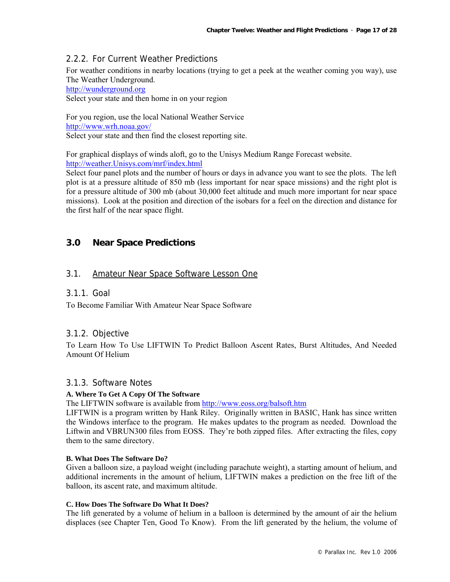## 2.2.2. For Current Weather Predictions

For weather conditions in nearby locations (trying to get a peek at the weather coming you way), use The Weather Underground.

http://wunderground.org

Select your state and then home in on your region

For you region, use the local National Weather Service http://www.wrh.noaa.gov/ Select your state and then find the closest reporting site.

For graphical displays of winds aloft, go to the Unisys Medium Range Forecast website. http://weather.Unisys.com/mrf/index.html

Select four panel plots and the number of hours or days in advance you want to see the plots. The left plot is at a pressure altitude of 850 mb (less important for near space missions) and the right plot is for a pressure altitude of 300 mb (about 30,000 feet altitude and much more important for near space missions). Look at the position and direction of the isobars for a feel on the direction and distance for the first half of the near space flight.

## **3.0 Near Space Predictions**

## 3.1. Amateur Near Space Software Lesson One

#### 3.1.1. Goal

To Become Familiar With Amateur Near Space Software

## 3.1.2. Objective

To Learn How To Use LIFTWIN To Predict Balloon Ascent Rates, Burst Altitudes, And Needed Amount Of Helium

## 3.1.3. Software Notes

#### **A. Where To Get A Copy Of The Software**

The LIFTWIN software is available from http://www.eoss.org/balsoft.htm

LIFTWIN is a program written by Hank Riley. Originally written in BASIC, Hank has since written the Windows interface to the program. He makes updates to the program as needed. Download the Liftwin and VBRUN300 files from EOSS. They're both zipped files. After extracting the files, copy them to the same directory.

#### **B. What Does The Software Do?**

Given a balloon size, a payload weight (including parachute weight), a starting amount of helium, and additional increments in the amount of helium, LIFTWIN makes a prediction on the free lift of the balloon, its ascent rate, and maximum altitude.

#### **C. How Does The Software Do What It Does?**

The lift generated by a volume of helium in a balloon is determined by the amount of air the helium displaces (see Chapter Ten, Good To Know). From the lift generated by the helium, the volume of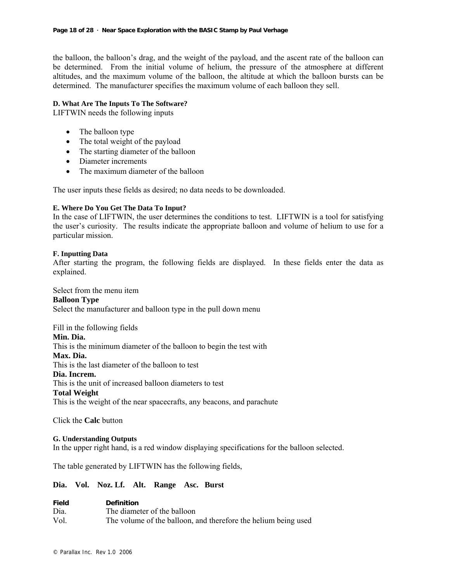the balloon, the balloon's drag, and the weight of the payload, and the ascent rate of the balloon can be determined. From the initial volume of helium, the pressure of the atmosphere at different altitudes, and the maximum volume of the balloon, the altitude at which the balloon bursts can be determined. The manufacturer specifies the maximum volume of each balloon they sell.

#### **D. What Are The Inputs To The Software?**

LIFTWIN needs the following inputs

- The balloon type
- The total weight of the payload
- The starting diameter of the balloon
- Diameter increments
- The maximum diameter of the balloon

The user inputs these fields as desired; no data needs to be downloaded.

#### **E. Where Do You Get The Data To Input?**

In the case of LIFTWIN, the user determines the conditions to test. LIFTWIN is a tool for satisfying the user's curiosity. The results indicate the appropriate balloon and volume of helium to use for a particular mission.

#### **F. Inputting Data**

After starting the program, the following fields are displayed. In these fields enter the data as explained.

Select from the menu item

#### **Balloon Type**

Select the manufacturer and balloon type in the pull down menu

Fill in the following fields

#### **Min. Dia.**

This is the minimum diameter of the balloon to begin the test with

#### **Max. Dia.**

This is the last diameter of the balloon to test

#### **Dia. Increm.**

This is the unit of increased balloon diameters to test

#### **Total Weight**

This is the weight of the near spacecrafts, any beacons, and parachute

Click the **Calc** button

#### **G. Understanding Outputs**

In the upper right hand, is a red window displaying specifications for the balloon selected.

The table generated by LIFTWIN has the following fields,

#### **Dia. Vol. Noz. Lf. Alt. Range Asc. Burst**

| <b>Field</b> | <b>Definition</b>                                              |
|--------------|----------------------------------------------------------------|
| Dia.         | The diameter of the balloon                                    |
| Vol          | The volume of the balloon, and therefore the helium being used |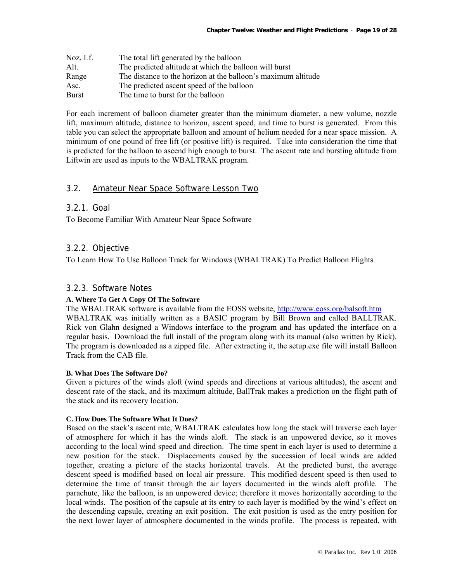| Noz. Lf.     | The total lift generated by the balloon                       |
|--------------|---------------------------------------------------------------|
| Alt.         | The predicted altitude at which the balloon will burst        |
| Range        | The distance to the horizon at the balloon's maximum altitude |
| Asc.         | The predicted ascent speed of the balloon                     |
| <b>Burst</b> | The time to burst for the balloon                             |

For each increment of balloon diameter greater than the minimum diameter, a new volume, nozzle lift, maximum altitude, distance to horizon, ascent speed, and time to burst is generated. From this table you can select the appropriate balloon and amount of helium needed for a near space mission. A minimum of one pound of free lift (or positive lift) is required. Take into consideration the time that is predicted for the balloon to ascend high enough to burst. The ascent rate and bursting altitude from Liftwin are used as inputs to the WBALTRAK program.

#### 3.2. Amateur Near Space Software Lesson Two

#### 3.2.1. Goal

To Become Familiar With Amateur Near Space Software

#### 3.2.2. Objective

To Learn How To Use Balloon Track for Windows (WBALTRAK) To Predict Balloon Flights

#### 3.2.3. Software Notes

#### **A. Where To Get A Copy Of The Software**

The WBALTRAK software is available from the EOSS website, http://www.eoss.org/balsoft.htm WBALTRAK was initially written as a BASIC program by Bill Brown and called BALLTRAK. Rick von Glahn designed a Windows interface to the program and has updated the interface on a regular basis. Download the full install of the program along with its manual (also written by Rick). The program is downloaded as a zipped file. After extracting it, the setup.exe file will install Balloon Track from the CAB file.

#### **B. What Does The Software Do?**

Given a pictures of the winds aloft (wind speeds and directions at various altitudes), the ascent and descent rate of the stack, and its maximum altitude, BallTrak makes a prediction on the flight path of the stack and its recovery location.

#### **C. How Does The Software What It Does?**

Based on the stack's ascent rate, WBALTRAK calculates how long the stack will traverse each layer of atmosphere for which it has the winds aloft. The stack is an unpowered device, so it moves according to the local wind speed and direction. The time spent in each layer is used to determine a new position for the stack. Displacements caused by the succession of local winds are added together, creating a picture of the stacks horizontal travels. At the predicted burst, the average descent speed is modified based on local air pressure. This modified descent speed is then used to determine the time of transit through the air layers documented in the winds aloft profile. The parachute, like the balloon, is an unpowered device; therefore it moves horizontally according to the local winds. The position of the capsule at its entry to each layer is modified by the wind's effect on the descending capsule, creating an exit position. The exit position is used as the entry position for the next lower layer of atmosphere documented in the winds profile. The process is repeated, with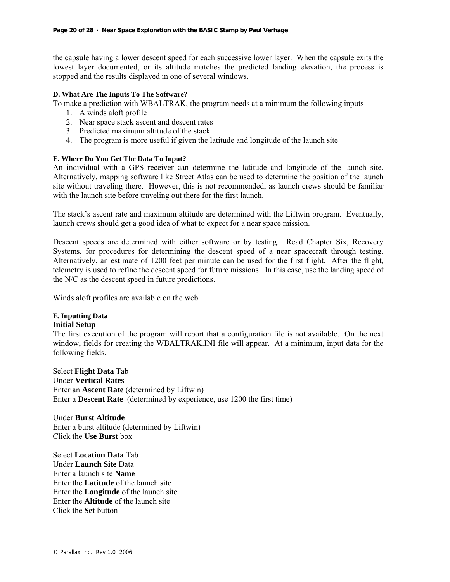the capsule having a lower descent speed for each successive lower layer. When the capsule exits the lowest layer documented, or its altitude matches the predicted landing elevation, the process is stopped and the results displayed in one of several windows.

#### **D. What Are The Inputs To The Software?**

To make a prediction with WBALTRAK, the program needs at a minimum the following inputs

- 1. A winds aloft profile
- 2. Near space stack ascent and descent rates
- 3. Predicted maximum altitude of the stack
- 4. The program is more useful if given the latitude and longitude of the launch site

#### **E. Where Do You Get The Data To Input?**

An individual with a GPS receiver can determine the latitude and longitude of the launch site. Alternatively, mapping software like Street Atlas can be used to determine the position of the launch site without traveling there. However, this is not recommended, as launch crews should be familiar with the launch site before traveling out there for the first launch.

The stack's ascent rate and maximum altitude are determined with the Liftwin program. Eventually, launch crews should get a good idea of what to expect for a near space mission.

Descent speeds are determined with either software or by testing. Read Chapter Six, Recovery Systems, for procedures for determining the descent speed of a near spacecraft through testing. Alternatively, an estimate of 1200 feet per minute can be used for the first flight. After the flight, telemetry is used to refine the descent speed for future missions. In this case, use the landing speed of the N/C as the descent speed in future predictions.

Winds aloft profiles are available on the web.

#### **F. Inputting Data Initial Setup**

The first execution of the program will report that a configuration file is not available. On the next window, fields for creating the WBALTRAK.INI file will appear. At a minimum, input data for the following fields.

Select **Flight Data** Tab Under **Vertical Rates**  Enter an **Ascent Rate** (determined by Liftwin) Enter a **Descent Rate** (determined by experience, use 1200 the first time)

Under **Burst Altitude** Enter a burst altitude (determined by Liftwin) Click the **Use Burst** box

Select **Location Data** Tab Under **Launch Site** Data Enter a launch site **Name** Enter the **Latitude** of the launch site Enter the **Longitude** of the launch site Enter the **Altitude** of the launch site Click the **Set** button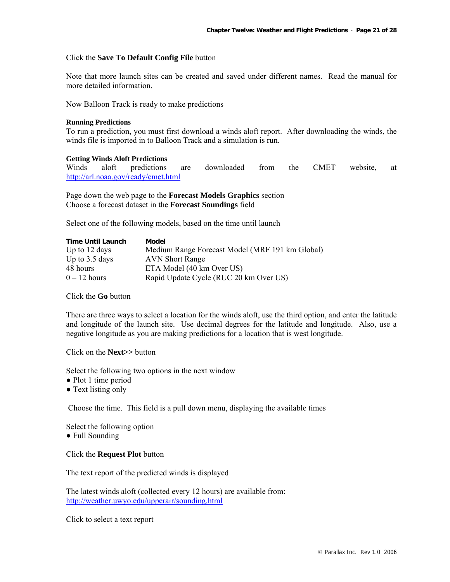#### Click the **Save To Default Config File** button

Note that more launch sites can be created and saved under different names. Read the manual for more detailed information.

Now Balloon Track is ready to make predictions

#### **Running Predictions**

To run a prediction, you must first download a winds aloft report. After downloading the winds, the winds file is imported in to Balloon Track and a simulation is run.

#### **Getting Winds Aloft Predictions**

Winds aloft predictions are downloaded from the CMET website, at http://arl.noaa.gov/ready/cmet.html

Page down the web page to the **Forecast Models Graphics** section Choose a forecast dataset in the **Forecast Soundings** field

Select one of the following models, based on the time until launch

| <b>Time Until Launch</b> | Model                                           |
|--------------------------|-------------------------------------------------|
| Up to $12$ days          | Medium Range Forecast Model (MRF 191 km Global) |
| Up to $3.5$ days         | <b>AVN</b> Short Range                          |
| 48 hours                 | ETA Model (40 km Over US)                       |
| $0 - 12$ hours           | Rapid Update Cycle (RUC 20 km Over US)          |

Click the **Go** button

There are three ways to select a location for the winds aloft, use the third option, and enter the latitude and longitude of the launch site. Use decimal degrees for the latitude and longitude. Also, use a negative longitude as you are making predictions for a location that is west longitude.

Click on the **Next>>** button

Select the following two options in the next window

- Plot 1 time period
- Text listing only

Choose the time. This field is a pull down menu, displaying the available times

Select the following option • Full Sounding

Click the **Request Plot** button

The text report of the predicted winds is displayed

The latest winds aloft (collected every 12 hours) are available from: http://weather.uwyo.edu/upperair/sounding.html

Click to select a text report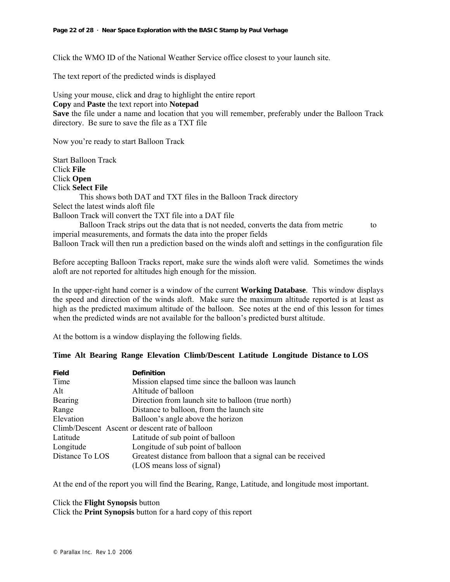Click the WMO ID of the National Weather Service office closest to your launch site.

The text report of the predicted winds is displayed

Using your mouse, click and drag to highlight the entire report **Copy** and **Paste** the text report into **Notepad Save** the file under a name and location that you will remember, preferably under the Balloon Track directory. Be sure to save the file as a TXT file

Now you're ready to start Balloon Track

Start Balloon Track Click **File** Click **Open** Click **Select File** This shows both DAT and TXT files in the Balloon Track directory Select the latest winds aloft file Balloon Track will convert the TXT file into a DAT file Balloon Track strips out the data that is not needed, converts the data from metric to imperial measurements, and formats the data into the proper fields

Balloon Track will then run a prediction based on the winds aloft and settings in the configuration file

Before accepting Balloon Tracks report, make sure the winds aloft were valid. Sometimes the winds aloft are not reported for altitudes high enough for the mission.

In the upper-right hand corner is a window of the current **Working Database**. This window displays the speed and direction of the winds aloft. Make sure the maximum altitude reported is at least as high as the predicted maximum altitude of the balloon. See notes at the end of this lesson for times when the predicted winds are not available for the balloon's predicted burst altitude.

At the bottom is a window displaying the following fields.

#### **Time Alt Bearing Range Elevation Climb/Descent Latitude Longitude Distance to LOS**

| <b>Field</b>                                    | <b>Definition</b>                                            |  |  |  |  |
|-------------------------------------------------|--------------------------------------------------------------|--|--|--|--|
| Time                                            | Mission elapsed time since the balloon was launch            |  |  |  |  |
| Alt                                             | Altitude of balloon                                          |  |  |  |  |
| Bearing                                         | Direction from launch site to balloon (true north)           |  |  |  |  |
| Range                                           | Distance to balloon, from the launch site                    |  |  |  |  |
| Elevation                                       | Balloon's angle above the horizon                            |  |  |  |  |
| Climb/Descent Ascent or descent rate of balloon |                                                              |  |  |  |  |
| Latitude                                        | Latitude of sub point of balloon                             |  |  |  |  |
| Longitude                                       | Longitude of sub point of balloon                            |  |  |  |  |
| Distance To LOS                                 | Greatest distance from balloon that a signal can be received |  |  |  |  |
|                                                 | (LOS means loss of signal)                                   |  |  |  |  |

At the end of the report you will find the Bearing, Range, Latitude, and longitude most important.

#### Click the **Flight Synopsis** button

Click the **Print Synopsis** button for a hard copy of this report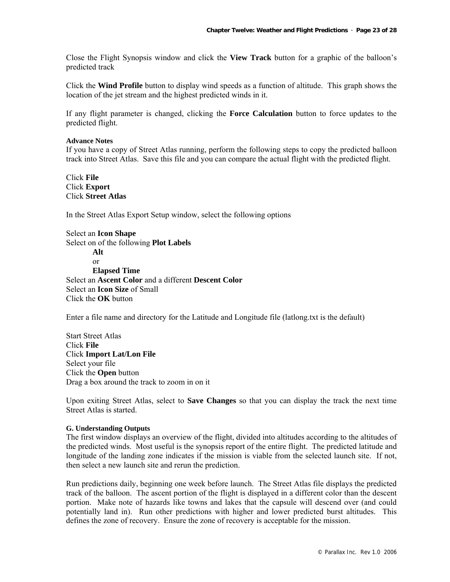Close the Flight Synopsis window and click the **View Track** button for a graphic of the balloon's predicted track

Click the **Wind Profile** button to display wind speeds as a function of altitude. This graph shows the location of the jet stream and the highest predicted winds in it.

If any flight parameter is changed, clicking the **Force Calculation** button to force updates to the predicted flight.

#### **Advance Notes**

If you have a copy of Street Atlas running, perform the following steps to copy the predicted balloon track into Street Atlas. Save this file and you can compare the actual flight with the predicted flight.

Click **File** Click **Export** Click **Street Atlas**

In the Street Atlas Export Setup window, select the following options

Select an **Icon Shape** Select on of the following **Plot Labels Alt**  or **Elapsed Time** Select an **Ascent Color** and a different **Descent Color**  Select an **Icon Size** of Small Click the **OK** button

Enter a file name and directory for the Latitude and Longitude file (latlong.txt is the default)

Start Street Atlas Click **File** Click **Import Lat/Lon File** Select your file Click the **Open** button Drag a box around the track to zoom in on it

Upon exiting Street Atlas, select to **Save Changes** so that you can display the track the next time Street Atlas is started.

#### **G. Understanding Outputs**

The first window displays an overview of the flight, divided into altitudes according to the altitudes of the predicted winds. Most useful is the synopsis report of the entire flight. The predicted latitude and longitude of the landing zone indicates if the mission is viable from the selected launch site. If not, then select a new launch site and rerun the prediction.

Run predictions daily, beginning one week before launch. The Street Atlas file displays the predicted track of the balloon. The ascent portion of the flight is displayed in a different color than the descent portion. Make note of hazards like towns and lakes that the capsule will descend over (and could potentially land in). Run other predictions with higher and lower predicted burst altitudes. This defines the zone of recovery. Ensure the zone of recovery is acceptable for the mission.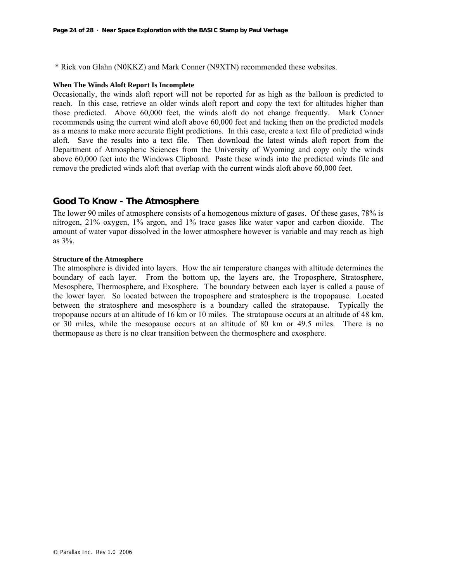\* Rick von Glahn (N0KKZ) and Mark Conner (N9XTN) recommended these websites.

#### **When The Winds Aloft Report Is Incomplete**

Occasionally, the winds aloft report will not be reported for as high as the balloon is predicted to reach. In this case, retrieve an older winds aloft report and copy the text for altitudes higher than those predicted. Above 60,000 feet, the winds aloft do not change frequently. Mark Conner recommends using the current wind aloft above 60,000 feet and tacking then on the predicted models as a means to make more accurate flight predictions. In this case, create a text file of predicted winds aloft. Save the results into a text file. Then download the latest winds aloft report from the Department of Atmospheric Sciences from the University of Wyoming and copy only the winds above 60,000 feet into the Windows Clipboard. Paste these winds into the predicted winds file and remove the predicted winds aloft that overlap with the current winds aloft above 60,000 feet.

#### **Good To Know - The Atmosphere**

The lower 90 miles of atmosphere consists of a homogenous mixture of gases. Of these gases, 78% is nitrogen, 21% oxygen, 1% argon, and 1% trace gases like water vapor and carbon dioxide. The amount of water vapor dissolved in the lower atmosphere however is variable and may reach as high as 3%.

#### **Structure of the Atmosphere**

The atmosphere is divided into layers. How the air temperature changes with altitude determines the boundary of each layer. From the bottom up, the layers are, the Troposphere, Stratosphere, Mesosphere, Thermosphere, and Exosphere. The boundary between each layer is called a pause of the lower layer. So located between the troposphere and stratosphere is the tropopause. Located between the stratosphere and mesosphere is a boundary called the stratopause. Typically the tropopause occurs at an altitude of 16 km or 10 miles. The stratopause occurs at an altitude of 48 km, or 30 miles, while the mesopause occurs at an altitude of 80 km or 49.5 miles. There is no thermopause as there is no clear transition between the thermosphere and exosphere.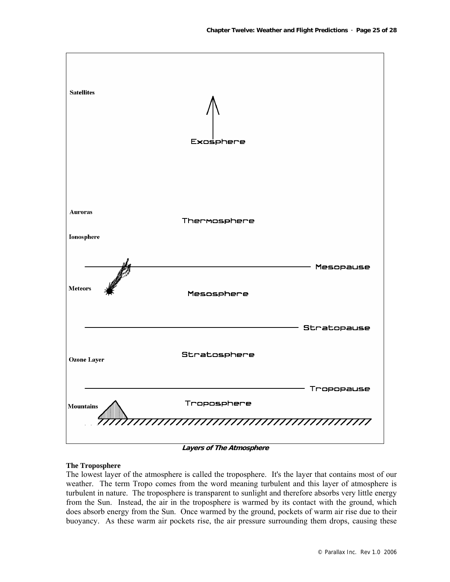

**Layers of The Atmosphere** 

#### **The Troposphere**

The lowest layer of the atmosphere is called the troposphere. It's the layer that contains most of our weather. The term Tropo comes from the word meaning turbulent and this layer of atmosphere is turbulent in nature. The troposphere is transparent to sunlight and therefore absorbs very little energy from the Sun. Instead, the air in the troposphere is warmed by its contact with the ground, which does absorb energy from the Sun. Once warmed by the ground, pockets of warm air rise due to their buoyancy. As these warm air pockets rise, the air pressure surrounding them drops, causing these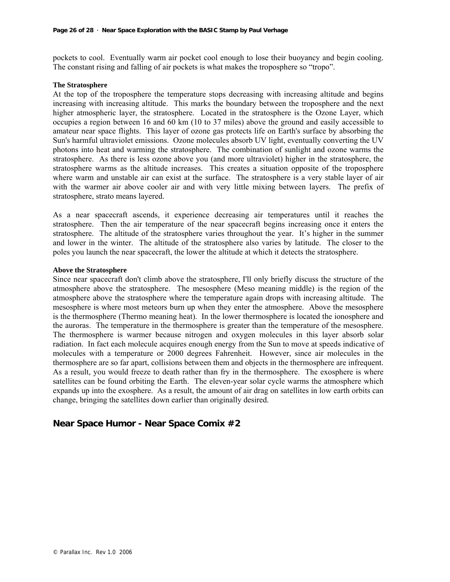pockets to cool. Eventually warm air pocket cool enough to lose their buoyancy and begin cooling. The constant rising and falling of air pockets is what makes the troposphere so "tropo".

#### **The Stratosphere**

At the top of the troposphere the temperature stops decreasing with increasing altitude and begins increasing with increasing altitude. This marks the boundary between the troposphere and the next higher atmospheric layer, the stratosphere. Located in the stratosphere is the Ozone Layer, which occupies a region between 16 and 60 km (10 to 37 miles) above the ground and easily accessible to amateur near space flights. This layer of ozone gas protects life on Earth's surface by absorbing the Sun's harmful ultraviolet emissions. Ozone molecules absorb UV light, eventually converting the UV photons into heat and warming the stratosphere. The combination of sunlight and ozone warms the stratosphere. As there is less ozone above you (and more ultraviolet) higher in the stratosphere, the stratosphere warms as the altitude increases. This creates a situation opposite of the troposphere where warm and unstable air can exist at the surface. The stratosphere is a very stable layer of air with the warmer air above cooler air and with very little mixing between layers. The prefix of stratosphere, strato means layered.

As a near spacecraft ascends, it experience decreasing air temperatures until it reaches the stratosphere. Then the air temperature of the near spacecraft begins increasing once it enters the stratosphere. The altitude of the stratosphere varies throughout the year. It's higher in the summer and lower in the winter. The altitude of the stratosphere also varies by latitude. The closer to the poles you launch the near spacecraft, the lower the altitude at which it detects the stratosphere.

#### **Above the Stratosphere**

Since near spacecraft don't climb above the stratosphere, I'll only briefly discuss the structure of the atmosphere above the stratosphere. The mesosphere (Meso meaning middle) is the region of the atmosphere above the stratosphere where the temperature again drops with increasing altitude. The mesosphere is where most meteors burn up when they enter the atmosphere. Above the mesosphere is the thermosphere (Thermo meaning heat). In the lower thermosphere is located the ionosphere and the auroras. The temperature in the thermosphere is greater than the temperature of the mesosphere. The thermosphere is warmer because nitrogen and oxygen molecules in this layer absorb solar radiation. In fact each molecule acquires enough energy from the Sun to move at speeds indicative of molecules with a temperature or 2000 degrees Fahrenheit. However, since air molecules in the thermosphere are so far apart, collisions between them and objects in the thermosphere are infrequent. As a result, you would freeze to death rather than fry in the thermosphere. The exosphere is where satellites can be found orbiting the Earth. The eleven-year solar cycle warms the atmosphere which expands up into the exosphere. As a result, the amount of air drag on satellites in low earth orbits can change, bringing the satellites down earlier than originally desired.

## **Near Space Humor - Near Space Comix #2**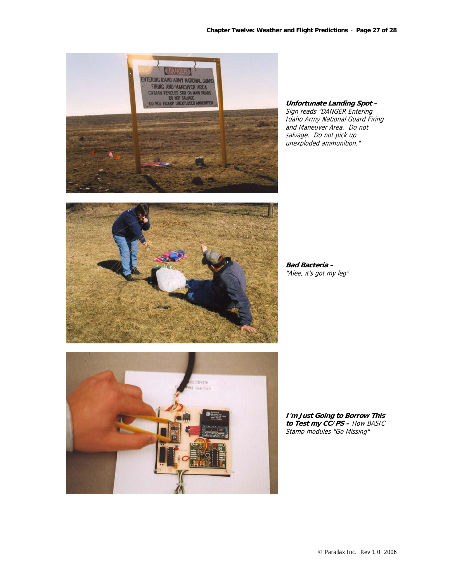

**Unfortunate Landing Spot –**  Sign reads "DANGER Entering Idaho Army National Guard Firing and Maneuver Area. Do not salvage. Do not pick up unexploded ammunition."



**Bad Bacteria –**  "Aiee, it's got my leg"



**I'm Just Going to Borrow This to Test my CC/PS –** How BASIC Stamp modules "Go Missing"